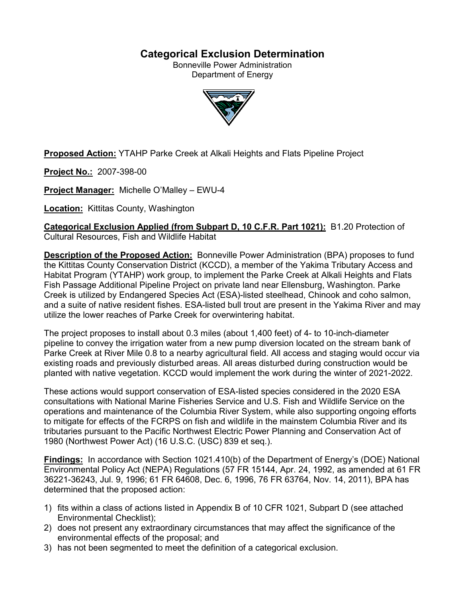# **Categorical Exclusion Determination**

Bonneville Power Administration Department of Energy



**Proposed Action:** YTAHP Parke Creek at Alkali Heights and Flats Pipeline Project

**Project No.:** 2007-398-00

**Project Manager:** Michelle O'Malley – EWU-4

**Location:** Kittitas County, Washington

**Categorical Exclusion Applied (from Subpart D, 10 C.F.R. Part 1021):** B1.20 Protection of Cultural Resources, Fish and Wildlife Habitat

**Description of the Proposed Action:** Bonneville Power Administration (BPA) proposes to fund the Kittitas County Conservation District (KCCD), a member of the Yakima Tributary Access and Habitat Program (YTAHP) work group, to implement the Parke Creek at Alkali Heights and Flats Fish Passage Additional Pipeline Project on private land near Ellensburg, Washington. Parke Creek is utilized by Endangered Species Act (ESA)-listed steelhead, Chinook and coho salmon, and a suite of native resident fishes. ESA-listed bull trout are present in the Yakima River and may utilize the lower reaches of Parke Creek for overwintering habitat.

The project proposes to install about 0.3 miles (about 1,400 feet) of 4- to 10-inch-diameter pipeline to convey the irrigation water from a new pump diversion located on the stream bank of Parke Creek at River Mile 0.8 to a nearby agricultural field. All access and staging would occur via existing roads and previously disturbed areas. All areas disturbed during construction would be planted with native vegetation. KCCD would implement the work during the winter of 2021-2022.

These actions would support conservation of ESA-listed species considered in the 2020 ESA consultations with National Marine Fisheries Service and U.S. Fish and Wildlife Service on the operations and maintenance of the Columbia River System, while also supporting ongoing efforts to mitigate for effects of the FCRPS on fish and wildlife in the mainstem Columbia River and its tributaries pursuant to the Pacific Northwest Electric Power Planning and Conservation Act of 1980 (Northwest Power Act) (16 U.S.C. (USC) 839 et seq.).

**Findings:** In accordance with Section 1021.410(b) of the Department of Energy's (DOE) National Environmental Policy Act (NEPA) Regulations (57 FR 15144, Apr. 24, 1992, as amended at 61 FR 36221-36243, Jul. 9, 1996; 61 FR 64608, Dec. 6, 1996, 76 FR 63764, Nov. 14, 2011), BPA has determined that the proposed action:

- 1) fits within a class of actions listed in Appendix B of 10 CFR 1021, Subpart D (see attached Environmental Checklist);
- 2) does not present any extraordinary circumstances that may affect the significance of the environmental effects of the proposal; and
- 3) has not been segmented to meet the definition of a categorical exclusion.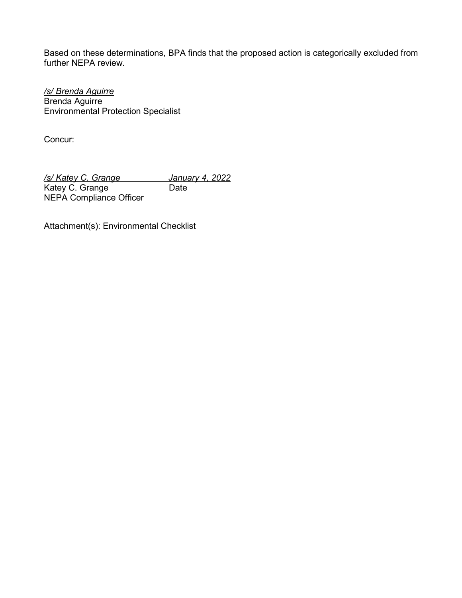Based on these determinations, BPA finds that the proposed action is categorically excluded from further NEPA review.

*/s/ Brenda Aguirre* Brenda Aguirre Environmental Protection Specialist

Concur:

*/s/ Katey C. Grange January 4, 2022* Katey C. Grange Date NEPA Compliance Officer

Attachment(s): Environmental Checklist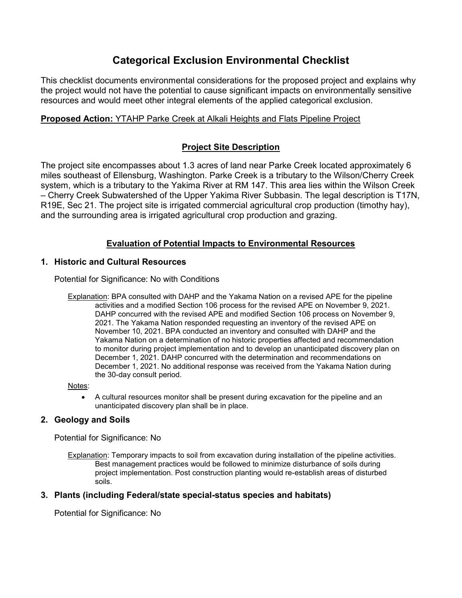# **Categorical Exclusion Environmental Checklist**

This checklist documents environmental considerations for the proposed project and explains why the project would not have the potential to cause significant impacts on environmentally sensitive resources and would meet other integral elements of the applied categorical exclusion.

# **Proposed Action:** YTAHP Parke Creek at Alkali Heights and Flats Pipeline Project

# **Project Site Description**

The project site encompasses about 1.3 acres of land near Parke Creek located approximately 6 miles southeast of Ellensburg, Washington. Parke Creek is a tributary to the Wilson/Cherry Creek system, which is a tributary to the Yakima River at RM 147. This area lies within the Wilson Creek – Cherry Creek Subwatershed of the Upper Yakima River Subbasin. The legal description is T17N, R19E, Sec 21. The project site is irrigated commercial agricultural crop production (timothy hay), and the surrounding area is irrigated agricultural crop production and grazing.

# **Evaluation of Potential Impacts to Environmental Resources**

## **1. Historic and Cultural Resources**

Potential for Significance: No with Conditions

Explanation: BPA consulted with DAHP and the Yakama Nation on a revised APE for the pipeline activities and a modified Section 106 process for the revised APE on November 9, 2021. DAHP concurred with the revised APE and modified Section 106 process on November 9, 2021. The Yakama Nation responded requesting an inventory of the revised APE on November 10, 2021. BPA conducted an inventory and consulted with DAHP and the Yakama Nation on a determination of no historic properties affected and recommendation to monitor during project implementation and to develop an unanticipated discovery plan on December 1, 2021. DAHP concurred with the determination and recommendations on December 1, 2021. No additional response was received from the Yakama Nation during the 30-day consult period.

Notes:

• A cultural resources monitor shall be present during excavation for the pipeline and an unanticipated discovery plan shall be in place.

## **2. Geology and Soils**

Potential for Significance: No

Explanation: Temporary impacts to soil from excavation during installation of the pipeline activities. Best management practices would be followed to minimize disturbance of soils during project implementation. Post construction planting would re-establish areas of disturbed soils.

## **3. Plants (including Federal/state special-status species and habitats)**

Potential for Significance: No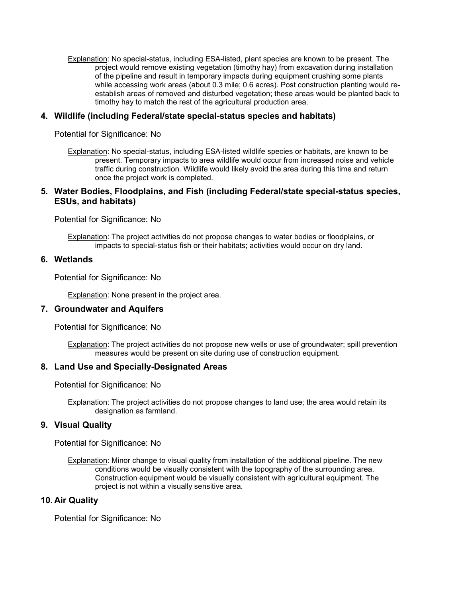Explanation: No special-status, including ESA-listed, plant species are known to be present. The project would remove existing vegetation (timothy hay) from excavation during installation of the pipeline and result in temporary impacts during equipment crushing some plants while accessing work areas (about 0.3 mile; 0.6 acres). Post construction planting would reestablish areas of removed and disturbed vegetation; these areas would be planted back to timothy hay to match the rest of the agricultural production area.

#### **4. Wildlife (including Federal/state special-status species and habitats)**

Potential for Significance: No

Explanation: No special-status, including ESA-listed wildlife species or habitats, are known to be present. Temporary impacts to area wildlife would occur from increased noise and vehicle traffic during construction. Wildlife would likely avoid the area during this time and return once the project work is completed.

#### **5. Water Bodies, Floodplains, and Fish (including Federal/state special-status species, ESUs, and habitats)**

Potential for Significance: No

Explanation: The project activities do not propose changes to water bodies or floodplains, or impacts to special-status fish or their habitats; activities would occur on dry land.

#### **6. Wetlands**

Potential for Significance: No

Explanation: None present in the project area.

#### **7. Groundwater and Aquifers**

Potential for Significance: No

Explanation: The project activities do not propose new wells or use of groundwater; spill prevention measures would be present on site during use of construction equipment.

#### **8. Land Use and Specially-Designated Areas**

Potential for Significance: No

Explanation: The project activities do not propose changes to land use; the area would retain its designation as farmland.

#### **9. Visual Quality**

Potential for Significance: No

Explanation: Minor change to visual quality from installation of the additional pipeline. The new conditions would be visually consistent with the topography of the surrounding area. Construction equipment would be visually consistent with agricultural equipment. The project is not within a visually sensitive area.

#### **10. Air Quality**

Potential for Significance: No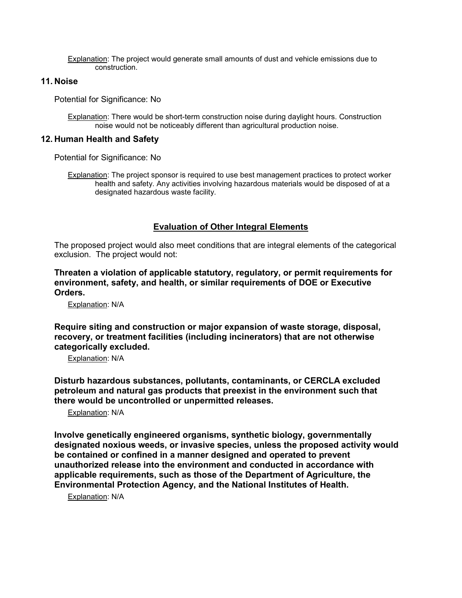Explanation: The project would generate small amounts of dust and vehicle emissions due to construction.

### **11. Noise**

Potential for Significance: No

Explanation: There would be short-term construction noise during daylight hours. Construction noise would not be noticeably different than agricultural production noise.

#### **12. Human Health and Safety**

Potential for Significance: No

Explanation: The project sponsor is required to use best management practices to protect worker health and safety. Any activities involving hazardous materials would be disposed of at a designated hazardous waste facility.

## **Evaluation of Other Integral Elements**

The proposed project would also meet conditions that are integral elements of the categorical exclusion. The project would not:

**Threaten a violation of applicable statutory, regulatory, or permit requirements for environment, safety, and health, or similar requirements of DOE or Executive Orders.**

Explanation: N/A

**Require siting and construction or major expansion of waste storage, disposal, recovery, or treatment facilities (including incinerators) that are not otherwise categorically excluded.**

Explanation: N/A

**Disturb hazardous substances, pollutants, contaminants, or CERCLA excluded petroleum and natural gas products that preexist in the environment such that there would be uncontrolled or unpermitted releases.**

Explanation: N/A

**Involve genetically engineered organisms, synthetic biology, governmentally designated noxious weeds, or invasive species, unless the proposed activity would be contained or confined in a manner designed and operated to prevent unauthorized release into the environment and conducted in accordance with applicable requirements, such as those of the Department of Agriculture, the Environmental Protection Agency, and the National Institutes of Health.**

Explanation: N/A